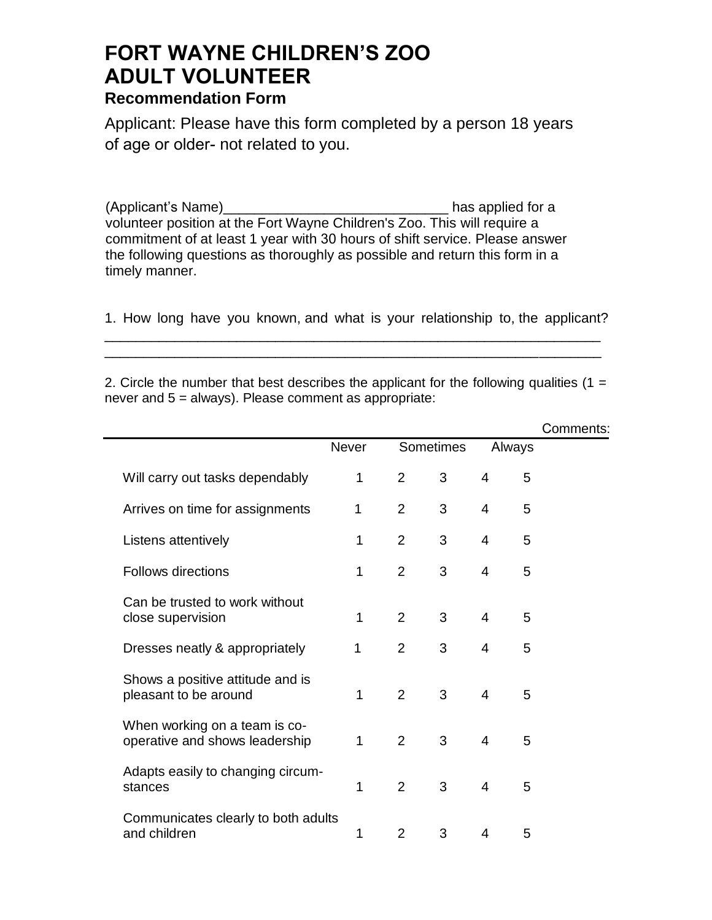## **FORT WAYNE CHILDREN'S ZOO ADULT VOLUNTEER**

## **Recommendation Form**

Applicant: Please have this form completed by a person 18 years of age or older- not related to you.

(Applicant's Name)\_\_\_\_\_\_\_\_\_\_\_\_\_\_\_\_\_\_\_\_\_\_\_\_\_\_\_\_\_ has applied for a volunteer position at the Fort Wayne Children's Zoo. This will require a commitment of at least 1 year with 30 hours of shift service. Please answer the following questions as thoroughly as possible and return this form in a timely manner.

1. How long have you known, and what is your relationship to, the applicant?

\_\_\_\_\_\_\_\_\_\_\_\_\_\_\_\_\_\_\_\_\_\_\_\_\_\_\_\_\_\_\_\_\_\_\_\_\_\_\_\_\_\_\_\_\_\_\_\_\_\_\_\_\_\_\_\_\_\_\_\_\_\_\_\_ \_\_\_\_\_\_\_\_\_\_\_\_\_\_\_\_\_\_\_\_\_\_\_\_\_\_\_\_\_\_\_\_\_\_\_\_\_\_\_\_\_\_\_\_\_\_\_\_\_\_\_\_\_\_\_\_\_\_\_\_\_\_\_\_

2. Circle the number that best describes the applicant for the following qualities (1 = never and 5 = always). Please comment as appropriate:

|                                                                 |              |                |                  |                |        | Comments: |
|-----------------------------------------------------------------|--------------|----------------|------------------|----------------|--------|-----------|
|                                                                 | <b>Never</b> |                | <b>Sometimes</b> |                | Always |           |
| Will carry out tasks dependably                                 | 1            | 2              | 3                | $\overline{4}$ | 5      |           |
| Arrives on time for assignments                                 | 1            | $\overline{2}$ | 3                | 4              | 5      |           |
| Listens attentively                                             | 1            | $\overline{2}$ | 3                | $\overline{4}$ | 5      |           |
| <b>Follows directions</b>                                       | 1            | $\overline{2}$ | 3                | 4              | 5      |           |
| Can be trusted to work without<br>close supervision             | 1            | 2              | 3                | $\overline{4}$ | 5      |           |
| Dresses neatly & appropriately                                  | 1            | $\overline{2}$ | 3                | $\overline{4}$ | 5      |           |
| Shows a positive attitude and is<br>pleasant to be around       | 1            | $\overline{2}$ | 3                | $\overline{4}$ | 5      |           |
| When working on a team is co-<br>operative and shows leadership | $\mathbf 1$  | 2              | 3                | 4              | 5      |           |
| Adapts easily to changing circum-<br>stances                    | 1            | $\overline{2}$ | 3                | 4              | 5      |           |
| Communicates clearly to both adults<br>and children             | 1            | $\overline{2}$ | 3                | 4              | 5      |           |